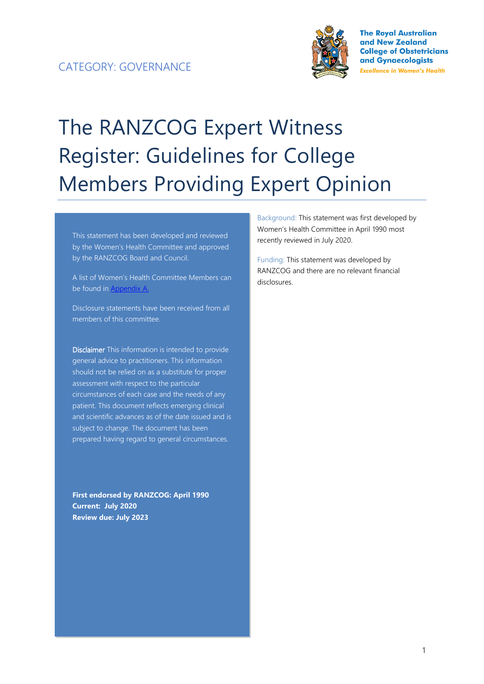

**The Roval Australian** and New Zealand **College of Obstetricians** and Gynaecologists **Excellence in Women's Health** 

# The RANZCOG Expert Witness Register: Guidelines for College Members Providing Expert Opinion

This statement has been developed and reviewed by the Women's Health Committee and approved by the RANZCOG Board and Council.

A list of Women's Health Committee Members can be found in Appendix A.

Disclosure statements have been received from all members of this committee.

Disclaimer This information is intended to provide general advice to practitioners. This information should not be relied on as a substitute for proper assessment with respect to the particular circumstances of each case and the needs of any patient. This document reflects emerging clinical and scientific advances as of the date issued and is subject to change. The document has been prepared having regard to general circumstances.

**First endorsed by RANZCOG: April 1990 Current: July 2020 Review due: July 2023**

Background: This statement was first developed by Women's Health Committee in April 1990 most recently reviewed in July 2020.

Funding: This statement was developed by RANZCOG and there are no relevant financial disclosures.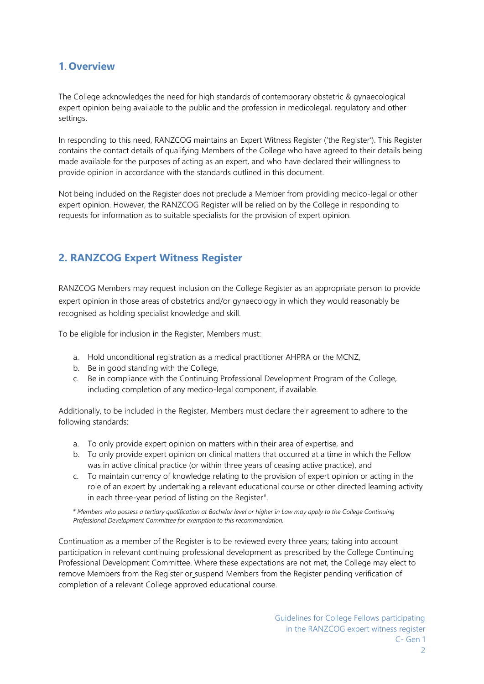#### **1. Overview**

The College acknowledges the need for high standards of contemporary obstetric & gynaecological expert opinion being available to the public and the profession in medicolegal, regulatory and other settings.

In responding to this need, RANZCOG maintains an Expert Witness Register ('the Register'). This Register contains the contact details of qualifying Members of the College who have agreed to their details being made available for the purposes of acting as an expert, and who have declared their willingness to provide opinion in accordance with the standards outlined in this document.

Not being included on the Register does not preclude a Member from providing medico-legal or other expert opinion. However, the RANZCOG Register will be relied on by the College in responding to requests for information as to suitable specialists for the provision of expert opinion.

## **2. RANZCOG Expert Witness Register**

RANZCOG Members may request inclusion on the College Register as an appropriate person to provide expert opinion in those areas of obstetrics and/or gynaecology in which they would reasonably be recognised as holding specialist knowledge and skill.

To be eligible for inclusion in the Register, Members must:

- a. Hold unconditional registration as a medical practitioner AHPRA or the MCNZ,
- b. Be in good standing with the College,
- c. Be in compliance with the Continuing Professional Development Program of the College, including completion of any medico-legal component, if available.

Additionally, to be included in the Register, Members must declare their agreement to adhere to the following standards:

- a. To only provide expert opinion on matters within their area of expertise, and
- b. To only provide expert opinion on clinical matters that occurred at a time in which the Fellow was in active clinical practice (or within three years of ceasing active practice), and
- c. To maintain currency of knowledge relating to the provision of expert opinion or acting in the role of an expert by undertaking a relevant educational course or other directed learning activity in each three-year period of listing on the Register $*$ .

*# Members who possess a tertiary qualification at Bachelor level or higher in Law may apply to the College Continuing Professional Development Committee for exemption to this recommendation.*

Continuation as a member of the Register is to be reviewed every three years; taking into account participation in relevant continuing professional development as prescribed by the College Continuing Professional Development Committee. Where these expectations are not met, the College may elect to remove Members from the Register or suspend Members from the Register pending verification of completion of a relevant College approved educational course.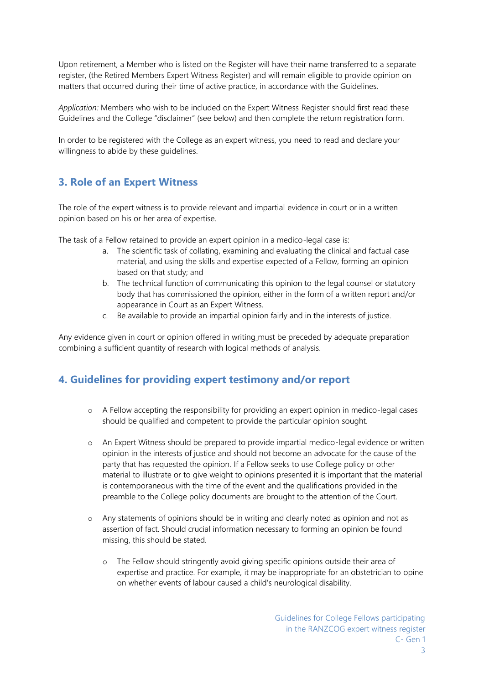Upon retirement, a Member who is listed on the Register will have their name transferred to a separate register, (the Retired Members Expert Witness Register) and will remain eligible to provide opinion on matters that occurred during their time of active practice, in accordance with the Guidelines.

*Application:* Members who wish to be included on the Expert Witness Register should first read these Guidelines and the College "disclaimer" (see below) and then complete the return registration form.

In order to be registered with the College as an expert witness, you need to read and declare your willingness to abide by these quidelines.

## **3. Role of an Expert Witness**

The role of the expert witness is to provide relevant and impartial evidence in court or in a written opinion based on his or her area of expertise.

The task of a Fellow retained to provide an expert opinion in a medico-legal case is:

- a. The scientific task of collating, examining and evaluating the clinical and factual case material, and using the skills and expertise expected of a Fellow, forming an opinion based on that study; and
- b. The technical function of communicating this opinion to the legal counsel or statutory body that has commissioned the opinion, either in the form of a written report and/or appearance in Court as an Expert Witness.
- c. Be available to provide an impartial opinion fairly and in the interests of justice.

Any evidence given in court or opinion offered in writing must be preceded by adequate preparation combining a sufficient quantity of research with logical methods of analysis.

#### **4. Guidelines for providing expert testimony and/or report**

- o A Fellow accepting the responsibility for providing an expert opinion in medico-legal cases should be qualified and competent to provide the particular opinion sought.
- o An Expert Witness should be prepared to provide impartial medico-legal evidence or written opinion in the interests of justice and should not become an advocate for the cause of the party that has requested the opinion. If a Fellow seeks to use College policy or other material to illustrate or to give weight to opinions presented it is important that the material is contemporaneous with the time of the event and the qualifications provided in the preamble to the College policy documents are brought to the attention of the Court.
- o Any statements of opinions should be in writing and clearly noted as opinion and not as assertion of fact. Should crucial information necessary to forming an opinion be found missing, this should be stated.
	- o The Fellow should stringently avoid giving specific opinions outside their area of expertise and practice. For example, it may be inappropriate for an obstetrician to opine on whether events of labour caused a child's neurological disability.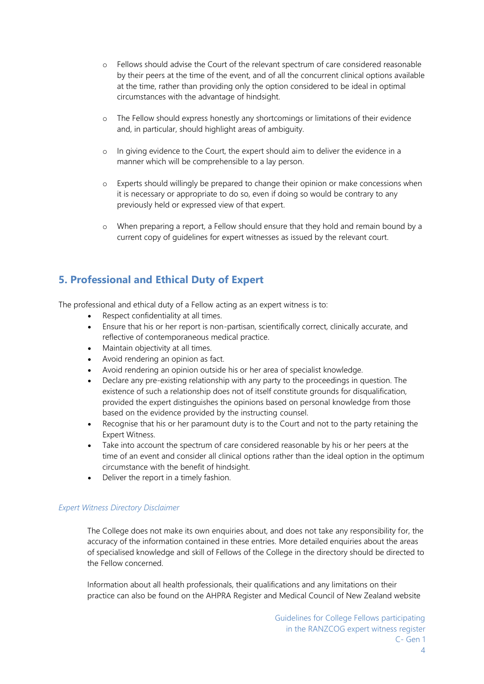- o Fellows should advise the Court of the relevant spectrum of care considered reasonable by their peers at the time of the event, and of all the concurrent clinical options available at the time, rather than providing only the option considered to be ideal in optimal circumstances with the advantage of hindsight.
- o The Fellow should express honestly any shortcomings or limitations of their evidence and, in particular, should highlight areas of ambiguity.
- o In giving evidence to the Court, the expert should aim to deliver the evidence in a manner which will be comprehensible to a lay person.
- o Experts should willingly be prepared to change their opinion or make concessions when it is necessary or appropriate to do so, even if doing so would be contrary to any previously held or expressed view of that expert.
- o When preparing a report, a Fellow should ensure that they hold and remain bound by a current copy of guidelines for expert witnesses as issued by the relevant court.

## **5. Professional and Ethical Duty of Expert**

The professional and ethical duty of a Fellow acting as an expert witness is to:

- Respect confidentiality at all times.
- Ensure that his or her report is non-partisan, scientifically correct, clinically accurate, and reflective of contemporaneous medical practice.
- Maintain objectivity at all times.
- Avoid rendering an opinion as fact.
- Avoid rendering an opinion outside his or her area of specialist knowledge.
- Declare any pre-existing relationship with any party to the proceedings in question. The existence of such a relationship does not of itself constitute grounds for disqualification, provided the expert distinguishes the opinions based on personal knowledge from those based on the evidence provided by the instructing counsel.
- Recognise that his or her paramount duty is to the Court and not to the party retaining the Expert Witness.
- Take into account the spectrum of care considered reasonable by his or her peers at the time of an event and consider all clinical options rather than the ideal option in the optimum circumstance with the benefit of hindsight.
- Deliver the report in a timely fashion.

#### *Expert Witness Directory Disclaimer*

The College does not make its own enquiries about, and does not take any responsibility for, the accuracy of the information contained in these entries. More detailed enquiries about the areas of specialised knowledge and skill of Fellows of the College in the directory should be directed to the Fellow concerned.

Information about all health professionals, their qualifications and any limitations on their practice can also be found on the AHPRA Register and Medical Council of New Zealand website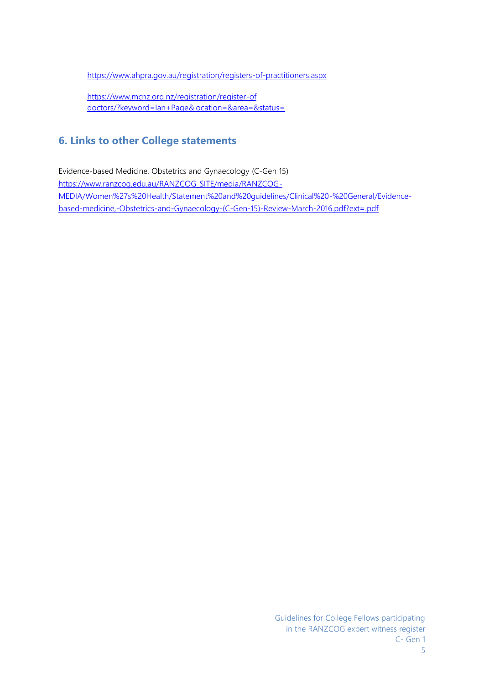<https://www.ahpra.gov.au/registration/registers-of-practitioners.aspx>

[https://www.mcnz.org.nz/registration/register-of](https://www.mcnz.org.nz/registration/register-of%20doctors/?keyword=Ian+Page&location=&area=&status=) [doctors/?keyword=Ian+Page&location=&area=&status=](https://www.mcnz.org.nz/registration/register-of%20doctors/?keyword=Ian+Page&location=&area=&status=)

## **6. Links to other College statements**

Evidence-based Medicine, Obstetrics and Gynaecology (C-Gen 15) [https://www.ranzcog.edu.au/RANZCOG\\_SITE/media/RANZCOG-](https://www.ranzcog.edu.au/RANZCOG_SITE/media/RANZCOG-MEDIA/Women%27s%20Health/Statement%20and%20guidelines/Clinical%20-%20General/Evidence-based-medicine,-Obstetrics-and-Gynaecology-(C-Gen-15)-Review-March-2016.pdf?ext=.pdf)[MEDIA/Women%27s%20Health/Statement%20and%20guidelines/Clinical%20-%20General/Evidence](https://www.ranzcog.edu.au/RANZCOG_SITE/media/RANZCOG-MEDIA/Women%27s%20Health/Statement%20and%20guidelines/Clinical%20-%20General/Evidence-based-medicine,-Obstetrics-and-Gynaecology-(C-Gen-15)-Review-March-2016.pdf?ext=.pdf)[based-medicine,-Obstetrics-and-Gynaecology-\(C-Gen-15\)-Review-March-2016.pdf?ext=.pdf](https://www.ranzcog.edu.au/RANZCOG_SITE/media/RANZCOG-MEDIA/Women%27s%20Health/Statement%20and%20guidelines/Clinical%20-%20General/Evidence-based-medicine,-Obstetrics-and-Gynaecology-(C-Gen-15)-Review-March-2016.pdf?ext=.pdf)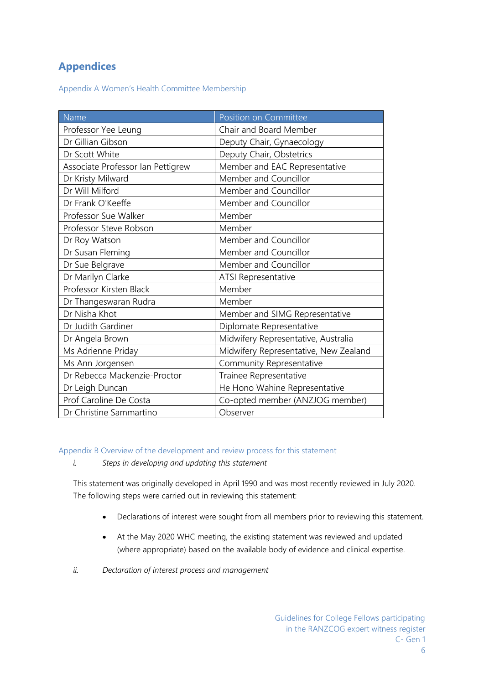## **Appendices**

Appendix A Women's Health Committee Membership

| Name                              | Position on Committee                 |
|-----------------------------------|---------------------------------------|
| Professor Yee Leung               | Chair and Board Member                |
| Dr Gillian Gibson                 | Deputy Chair, Gynaecology             |
| Dr Scott White                    | Deputy Chair, Obstetrics              |
| Associate Professor Ian Pettigrew | Member and EAC Representative         |
| Dr Kristy Milward                 | Member and Councillor                 |
| Dr Will Milford                   | Member and Councillor                 |
| Dr Frank O'Keeffe                 | Member and Councillor                 |
| Professor Sue Walker              | Member                                |
| Professor Steve Robson            | Member                                |
| Dr Roy Watson                     | Member and Councillor                 |
| Dr Susan Fleming                  | Member and Councillor                 |
| Dr Sue Belgrave                   | Member and Councillor                 |
| Dr Marilyn Clarke                 | ATSI Representative                   |
| Professor Kirsten Black           | Member                                |
| Dr Thangeswaran Rudra             | Member                                |
| Dr Nisha Khot                     | Member and SIMG Representative        |
| Dr Judith Gardiner                | Diplomate Representative              |
| Dr Angela Brown                   | Midwifery Representative, Australia   |
| Ms Adrienne Priday                | Midwifery Representative, New Zealand |
| Ms Ann Jorgensen                  | Community Representative              |
| Dr Rebecca Mackenzie-Proctor      | Trainee Representative                |
| Dr Leigh Duncan                   | He Hono Wahine Representative         |
| Prof Caroline De Costa            | Co-opted member (ANZJOG member)       |
| Dr Christine Sammartino           | Observer                              |

Appendix B Overview of the development and review process for this statement

*i. Steps in developing and updating this statement*

This statement was originally developed in April 1990 and was most recently reviewed in July 2020. The following steps were carried out in reviewing this statement:

- Declarations of interest were sought from all members prior to reviewing this statement.
- At the May 2020 WHC meeting, the existing statement was reviewed and updated (where appropriate) based on the available body of evidence and clinical expertise.
- *ii. Declaration of interest process and management*